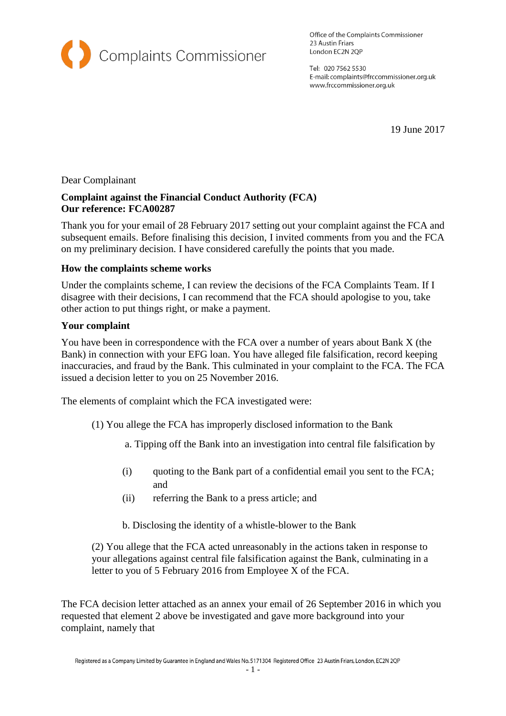

Office of the Complaints Commissioner 23 Austin Friars London EC2N 2QP

Tel: 020 7562 5530 E-mail: complaints@frccommissioner.org.uk www.frccommissioner.org.uk

19 June 2017

## Dear Complainant

# **Complaint against the Financial Conduct Authority (FCA) Our reference: FCA00287**

Thank you for your email of 28 February 2017 setting out your complaint against the FCA and subsequent emails. Before finalising this decision, I invited comments from you and the FCA on my preliminary decision. I have considered carefully the points that you made.

## **How the complaints scheme works**

Under the complaints scheme, I can review the decisions of the FCA Complaints Team. If I disagree with their decisions, I can recommend that the FCA should apologise to you, take other action to put things right, or make a payment.

## **Your complaint**

You have been in correspondence with the FCA over a number of years about Bank X (the Bank) in connection with your EFG loan. You have alleged file falsification, record keeping inaccuracies, and fraud by the Bank. This culminated in your complaint to the FCA. The FCA issued a decision letter to you on 25 November 2016.

The elements of complaint which the FCA investigated were:

- (1) You allege the FCA has improperly disclosed information to the Bank
	- a. Tipping off the Bank into an investigation into central file falsification by
	- (i) quoting to the Bank part of a confidential email you sent to the FCA; and
	- (ii) referring the Bank to a press article; and

b. Disclosing the identity of a whistle-blower to the Bank

(2) You allege that the FCA acted unreasonably in the actions taken in response to your allegations against central file falsification against the Bank, culminating in a letter to you of 5 February 2016 from Employee X of the FCA.

The FCA decision letter attached as an annex your email of 26 September 2016 in which you requested that element 2 above be investigated and gave more background into your complaint, namely that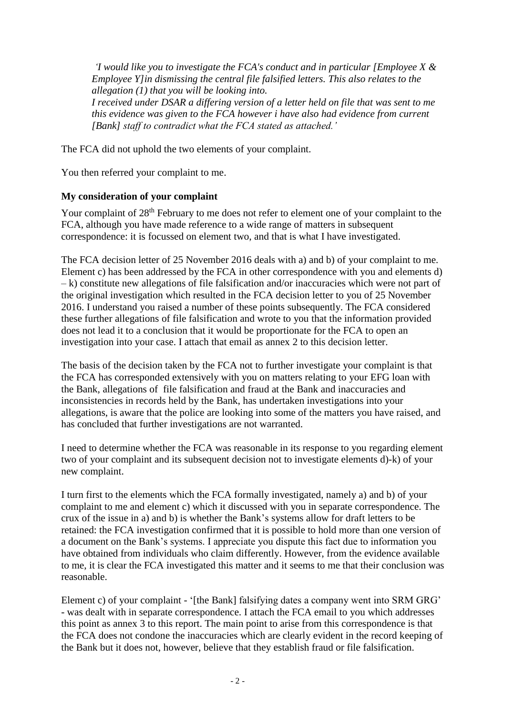*'I would like you to investigate the FCA's conduct and in particular [Employee X & Employee Y]in dismissing the central file falsified letters. This also relates to the allegation (1) that you will be looking into. I received under DSAR a differing version of a letter held on file that was sent to me this evidence was given to the FCA however i have also had evidence from current [Bank] staff to contradict what the FCA stated as attached.'*

The FCA did not uphold the two elements of your complaint.

You then referred your complaint to me.

## **My consideration of your complaint**

Your complaint of 28<sup>th</sup> February to me does not refer to element one of your complaint to the FCA, although you have made reference to a wide range of matters in subsequent correspondence: it is focussed on element two, and that is what I have investigated.

The FCA decision letter of 25 November 2016 deals with a) and b) of your complaint to me. Element c) has been addressed by the FCA in other correspondence with you and elements d) – k) constitute new allegations of file falsification and/or inaccuracies which were not part of the original investigation which resulted in the FCA decision letter to you of 25 November 2016. I understand you raised a number of these points subsequently. The FCA considered these further allegations of file falsification and wrote to you that the information provided does not lead it to a conclusion that it would be proportionate for the FCA to open an investigation into your case. I attach that email as annex 2 to this decision letter.

The basis of the decision taken by the FCA not to further investigate your complaint is that the FCA has corresponded extensively with you on matters relating to your EFG loan with the Bank, allegations of file falsification and fraud at the Bank and inaccuracies and inconsistencies in records held by the Bank, has undertaken investigations into your allegations, is aware that the police are looking into some of the matters you have raised, and has concluded that further investigations are not warranted.

I need to determine whether the FCA was reasonable in its response to you regarding element two of your complaint and its subsequent decision not to investigate elements d)-k) of your new complaint.

I turn first to the elements which the FCA formally investigated, namely a) and b) of your complaint to me and element c) which it discussed with you in separate correspondence. The crux of the issue in a) and b) is whether the Bank's systems allow for draft letters to be retained: the FCA investigation confirmed that it is possible to hold more than one version of a document on the Bank's systems. I appreciate you dispute this fact due to information you have obtained from individuals who claim differently. However, from the evidence available to me, it is clear the FCA investigated this matter and it seems to me that their conclusion was reasonable.

Element c) of your complaint - '[the Bank] falsifying dates a company went into SRM GRG' - was dealt with in separate correspondence. I attach the FCA email to you which addresses this point as annex 3 to this report. The main point to arise from this correspondence is that the FCA does not condone the inaccuracies which are clearly evident in the record keeping of the Bank but it does not, however, believe that they establish fraud or file falsification.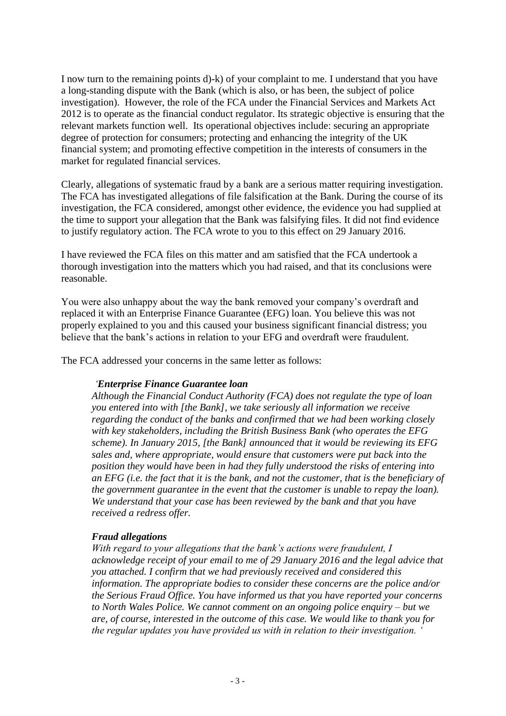I now turn to the remaining points d)-k) of your complaint to me. I understand that you have a long-standing dispute with the Bank (which is also, or has been, the subject of police investigation). However, the role of the FCA under the Financial Services and Markets Act 2012 is to operate as the financial conduct regulator. Its strategic objective is ensuring that the relevant markets function well. Its operational objectives include: securing an appropriate degree of protection for consumers; protecting and enhancing the integrity of the UK financial system; and promoting effective competition in the interests of consumers in the market for regulated financial services.

Clearly, allegations of systematic fraud by a bank are a serious matter requiring investigation. The FCA has investigated allegations of file falsification at the Bank. During the course of its investigation, the FCA considered, amongst other evidence, the evidence you had supplied at the time to support your allegation that the Bank was falsifying files. It did not find evidence to justify regulatory action. The FCA wrote to you to this effect on 29 January 2016.

I have reviewed the FCA files on this matter and am satisfied that the FCA undertook a thorough investigation into the matters which you had raised, and that its conclusions were reasonable.

You were also unhappy about the way the bank removed your company's overdraft and replaced it with an Enterprise Finance Guarantee (EFG) loan. You believe this was not properly explained to you and this caused your business significant financial distress; you believe that the bank's actions in relation to your EFG and overdraft were fraudulent.

The FCA addressed your concerns in the same letter as follows:

#### *'Enterprise Finance Guarantee loan*

*Although the Financial Conduct Authority (FCA) does not regulate the type of loan you entered into with [the Bank], we take seriously all information we receive regarding the conduct of the banks and confirmed that we had been working closely with key stakeholders, including the British Business Bank (who operates the EFG scheme). In January 2015, [the Bank] announced that it would be reviewing its EFG sales and, where appropriate, would ensure that customers were put back into the position they would have been in had they fully understood the risks of entering into an EFG (i.e. the fact that it is the bank, and not the customer, that is the beneficiary of the government guarantee in the event that the customer is unable to repay the loan). We understand that your case has been reviewed by the bank and that you have received a redress offer.* 

#### *Fraud allegations*

*With regard to your allegations that the bank's actions were fraudulent, I acknowledge receipt of your email to me of 29 January 2016 and the legal advice that you attached. I confirm that we had previously received and considered this information. The appropriate bodies to consider these concerns are the police and/or the Serious Fraud Office. You have informed us that you have reported your concerns to North Wales Police. We cannot comment on an ongoing police enquiry – but we are, of course, interested in the outcome of this case. We would like to thank you for the regular updates you have provided us with in relation to their investigation. '*